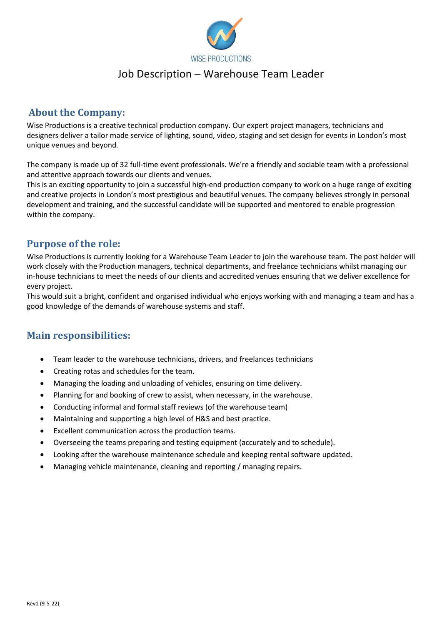

## Job Description – Warehouse Team Leader

### **About the Company:**

Wise Productions is a creative technical production company. Our expert project managers, technicians and designers deliver a tailor made service of lighting, sound, video, staging and set design for events in London's most unique venues and beyond.

The company is made up of 32 full-time event professionals. We're a friendly and sociable team with a professional and attentive approach towards our clients and venues.

This is an exciting opportunity to join a successful high-end production company to work on a huge range of exciting and creative projects in London's most prestigious and beautiful venues. The company believes strongly in personal development and training, and the successful candidate will be supported and mentored to enable progression within the company.

## **Purpose of the role:**

Wise Productions is currently looking for a Warehouse Team Leader to join the warehouse team. The post holder will work closely with the Production managers, technical departments, and freelance technicians whilst managing our in-house technicians to meet the needs of our clients and accredited venues ensuring that we deliver excellence for every project.

This would suit a bright, confident and organised individual who enjoys working with and managing a team and has a good knowledge of the demands of warehouse systems and staff.

### **Main responsibilities:**

- Team leader to the warehouse technicians, drivers, and freelances technicians
- Creating rotas and schedules for the team.
- Managing the loading and unloading of vehicles, ensuring on time delivery.
- Planning for and booking of crew to assist, when necessary, in the warehouse.
- Conducting informal and formal staff reviews (of the warehouse team)
- Maintaining and supporting a high level of H&S and best practice.
- Excellent communication across the production teams.
- Overseeing the teams preparing and testing equipment (accurately and to schedule).
- Looking after the warehouse maintenance schedule and keeping rental software updated.
- Managing vehicle maintenance, cleaning and reporting / managing repairs.